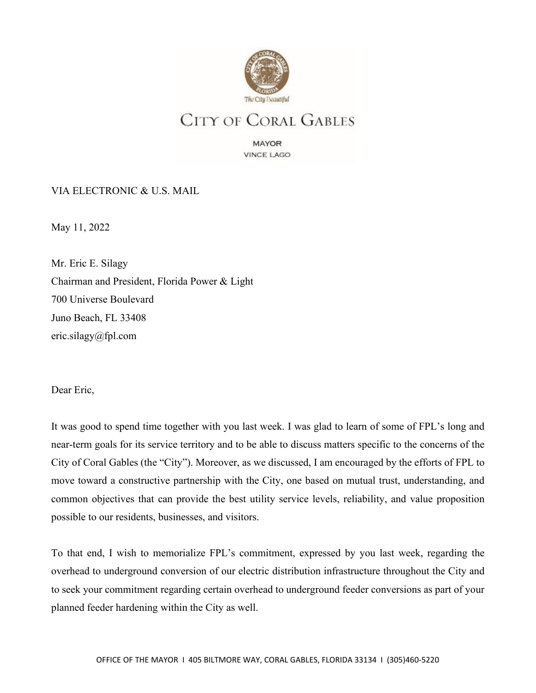

MAYOR **VINCE LAGO** 

VIA ELECTRONIC & U.S. MAIL

May 11, 2022

Mr. Eric E. Silagy Chairman and President, Florida Power & Light 700 Universe Boulevard Juno Beach, FL 33408 eric.silagy@fpl.com

Dear Eric,

It was good to spend time together with you last week. I was glad to learn of some of FPL's long and near-term goals for its service territory and to be able to discuss matters specific to the concerns of the City of Coral Gables (the "City"). Moreover, as we discussed, I am encouraged by the efforts of FPL to move toward a constructive partnership with the City, one based on mutual trust, understanding, and common objectives that can provide the best utility service levels, reliability, and value proposition possible to our residents, businesses, and visitors.

To that end, I wish to memorialize FPL's commitment, expressed by you last week, regarding the overhead to underground conversion of our electric distribution infrastructure throughout the City and to seek your commitment regarding certain overhead to underground feeder conversions as part of your planned feeder hardening within the City as well.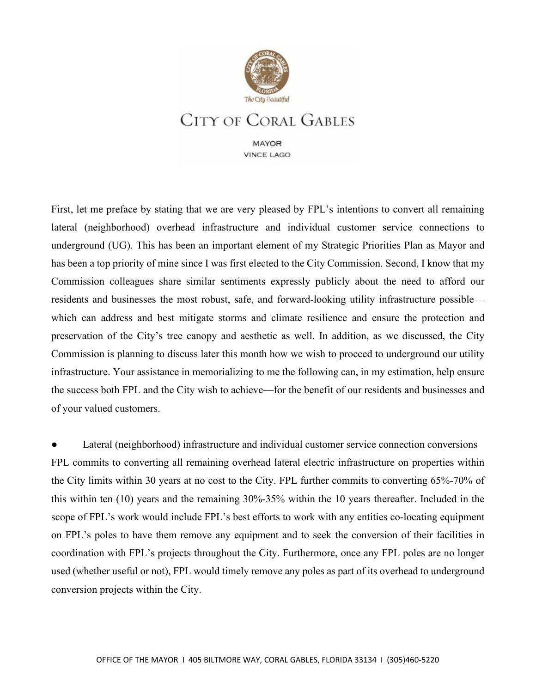

**MAYOR VINCE LAGO** 

First, let me preface by stating that we are very pleased by FPL's intentions to convert all remaining lateral (neighborhood) overhead infrastructure and individual customer service connections to underground (UG). This has been an important element of my Strategic Priorities Plan as Mayor and has been a top priority of mine since I was first elected to the City Commission. Second, I know that my Commission colleagues share similar sentiments expressly publicly about the need to afford our residents and businesses the most robust, safe, and forward-looking utility infrastructure possible which can address and best mitigate storms and climate resilience and ensure the protection and preservation of the City's tree canopy and aesthetic as well. In addition, as we discussed, the City Commission is planning to discuss later this month how we wish to proceed to underground our utility infrastructure. Your assistance in memorializing to me the following can, in my estimation, help ensure the success both FPL and the City wish to achieve—for the benefit of our residents and businesses and of your valued customers.

Lateral (neighborhood) infrastructure and individual customer service connection conversions FPL commits to converting all remaining overhead lateral electric infrastructure on properties within the City limits within 30 years at no cost to the City. FPL further commits to converting 65%-70% of this within ten (10) years and the remaining 30%-35% within the 10 years thereafter. Included in the scope of FPL's work would include FPL's best efforts to work with any entities co-locating equipment on FPL's poles to have them remove any equipment and to seek the conversion of their facilities in coordination with FPL's projects throughout the City. Furthermore, once any FPL poles are no longer used (whether useful or not), FPL would timely remove any poles as part of its overhead to underground conversion projects within the City.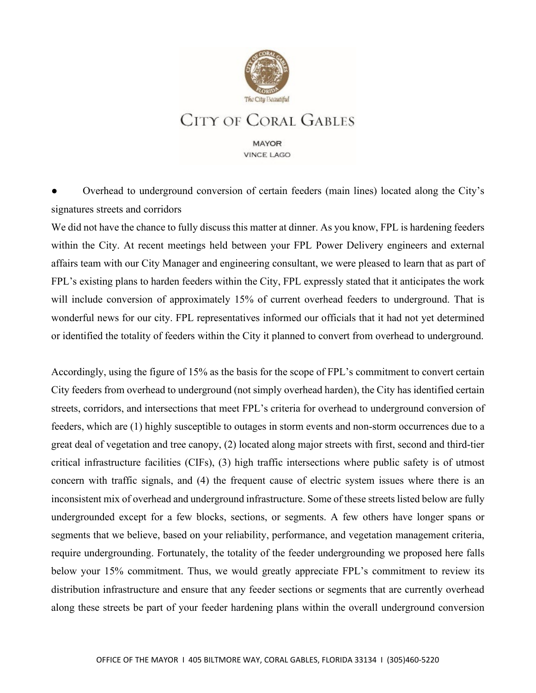

**MAYOR VINCE LAGO** 

Overhead to underground conversion of certain feeders (main lines) located along the City's signatures streets and corridors

We did not have the chance to fully discuss this matter at dinner. As you know, FPL is hardening feeders within the City. At recent meetings held between your FPL Power Delivery engineers and external affairs team with our City Manager and engineering consultant, we were pleased to learn that as part of FPL's existing plans to harden feeders within the City, FPL expressly stated that it anticipates the work will include conversion of approximately 15% of current overhead feeders to underground. That is wonderful news for our city. FPL representatives informed our officials that it had not yet determined or identified the totality of feeders within the City it planned to convert from overhead to underground.

Accordingly, using the figure of 15% as the basis for the scope of FPL's commitment to convert certain City feeders from overhead to underground (not simply overhead harden), the City has identified certain streets, corridors, and intersections that meet FPL's criteria for overhead to underground conversion of feeders, which are (1) highly susceptible to outages in storm events and non-storm occurrences due to a great deal of vegetation and tree canopy, (2) located along major streets with first, second and third-tier critical infrastructure facilities (CIFs), (3) high traffic intersections where public safety is of utmost concern with traffic signals, and (4) the frequent cause of electric system issues where there is an inconsistent mix of overhead and underground infrastructure. Some of these streets listed below are fully undergrounded except for a few blocks, sections, or segments. A few others have longer spans or segments that we believe, based on your reliability, performance, and vegetation management criteria, require undergrounding. Fortunately, the totality of the feeder undergrounding we proposed here falls below your 15% commitment. Thus, we would greatly appreciate FPL's commitment to review its distribution infrastructure and ensure that any feeder sections or segments that are currently overhead along these streets be part of your feeder hardening plans within the overall underground conversion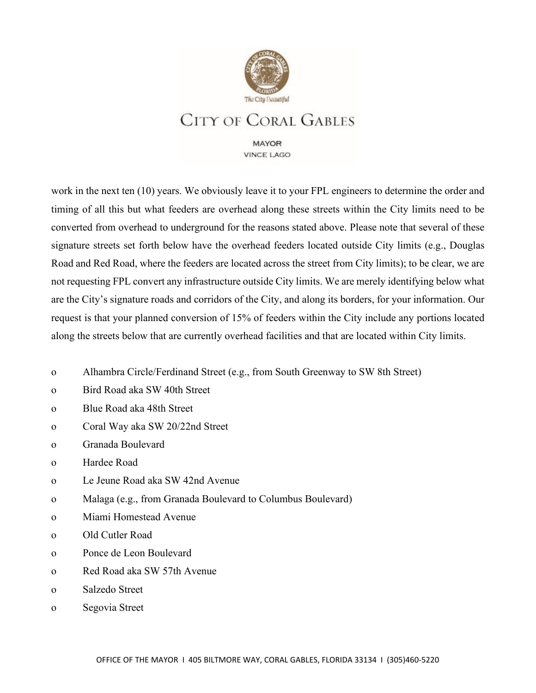

**MAYOR VINCE LAGO** 

work in the next ten (10) years. We obviously leave it to your FPL engineers to determine the order and timing of all this but what feeders are overhead along these streets within the City limits need to be converted from overhead to underground for the reasons stated above. Please note that several of these signature streets set forth below have the overhead feeders located outside City limits (e.g., Douglas Road and Red Road, where the feeders are located across the street from City limits); to be clear, we are not requesting FPL convert any infrastructure outside City limits. We are merely identifying below what are the City's signature roads and corridors of the City, and along its borders, for your information. Our request is that your planned conversion of 15% of feeders within the City include any portions located along the streets below that are currently overhead facilities and that are located within City limits.

- o Alhambra Circle/Ferdinand Street (e.g., from South Greenway to SW 8th Street)
- o Bird Road aka SW 40th Street
- o Blue Road aka 48th Street
- o Coral Way aka SW 20/22nd Street
- o Granada Boulevard
- o Hardee Road
- o Le Jeune Road aka SW 42nd Avenue
- o Malaga (e.g., from Granada Boulevard to Columbus Boulevard)
- o Miami Homestead Avenue
- o Old Cutler Road
- o Ponce de Leon Boulevard
- o Red Road aka SW 57th Avenue
- o Salzedo Street
- o Segovia Street